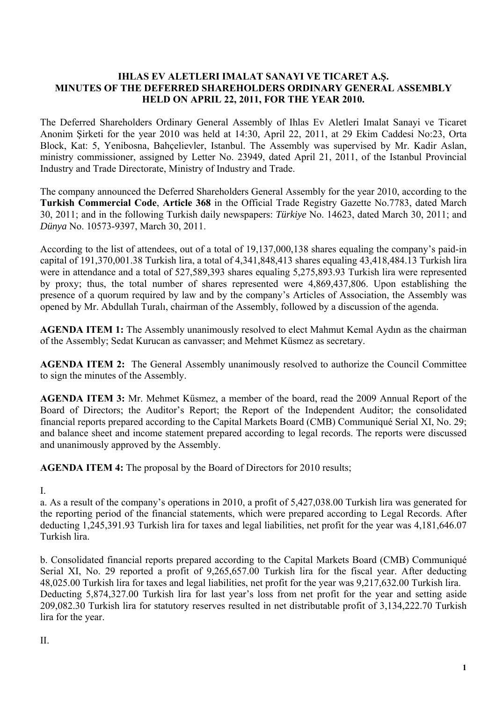#### **IHLAS EV ALETLERI IMALAT SANAYI VE TICARET A.Ş. MINUTES OF THE DEFERRED SHAREHOLDERS ORDINARY GENERAL ASSEMBLY HELD ON APRIL 22, 2011, FOR THE YEAR 2010.**

The Deferred Shareholders Ordinary General Assembly of Ihlas Ev Aletleri Imalat Sanayi ve Ticaret Anonim Şirketi for the year 2010 was held at 14:30, April 22, 2011, at 29 Ekim Caddesi No:23, Orta Block, Kat: 5, Yenibosna, Bahçelievler, Istanbul. The Assembly was supervised by Mr. Kadir Aslan, ministry commissioner, assigned by Letter No. 23949, dated April 21, 2011, of the Istanbul Provincial Industry and Trade Directorate, Ministry of Industry and Trade.

The company announced the Deferred Shareholders General Assembly for the year 2010, according to the **Turkish Commercial Code**, **Article 368** in the Official Trade Registry Gazette No.7783, dated March 30, 2011; and in the following Turkish daily newspapers: *Türkiye* No. 14623, dated March 30, 2011; and *Dünya* No. 10573-9397, March 30, 2011.

According to the list of attendees, out of a total of 19,137,000,138 shares equaling the company's paid-in capital of 191,370,001.38 Turkish lira, a total of 4,341,848,413 shares equaling 43,418,484.13 Turkish lira were in attendance and a total of 527,589,393 shares equaling 5,275,893.93 Turkish lira were represented by proxy; thus, the total number of shares represented were 4,869,437,806. Upon establishing the presence of a quorum required by law and by the company's Articles of Association, the Assembly was opened by Mr. Abdullah Turalı, chairman of the Assembly, followed by a discussion of the agenda.

**AGENDA ITEM 1:** The Assembly unanimously resolved to elect Mahmut Kemal Aydın as the chairman of the Assembly; Sedat Kurucan as canvasser; and Mehmet Küsmez as secretary.

**AGENDA ITEM 2:** The General Assembly unanimously resolved to authorize the Council Committee to sign the minutes of the Assembly.

**AGENDA ITEM 3:** Mr. Mehmet Küsmez, a member of the board, read the 2009 Annual Report of the Board of Directors; the Auditor's Report; the Report of the Independent Auditor; the consolidated financial reports prepared according to the Capital Markets Board (CMB) Communiqué Serial XI, No. 29; and balance sheet and income statement prepared according to legal records. The reports were discussed and unanimously approved by the Assembly.

**AGENDA ITEM 4:** The proposal by the Board of Directors for 2010 results;

I.

a. As a result of the company's operations in 2010, a profit of 5,427,038.00 Turkish lira was generated for the reporting period of the financial statements, which were prepared according to Legal Records. After deducting 1,245,391.93 Turkish lira for taxes and legal liabilities, net profit for the year was 4,181,646.07 Turkish lira.

b. Consolidated financial reports prepared according to the Capital Markets Board (CMB) Communiqué Serial XI, No. 29 reported a profit of 9,265,657.00 Turkish lira for the fiscal year. After deducting 48,025.00 Turkish lira for taxes and legal liabilities, net profit for the year was 9,217,632.00 Turkish lira. Deducting 5,874,327.00 Turkish lira for last year's loss from net profit for the year and setting aside 209,082.30 Turkish lira for statutory reserves resulted in net distributable profit of 3,134,222.70 Turkish lira for the year.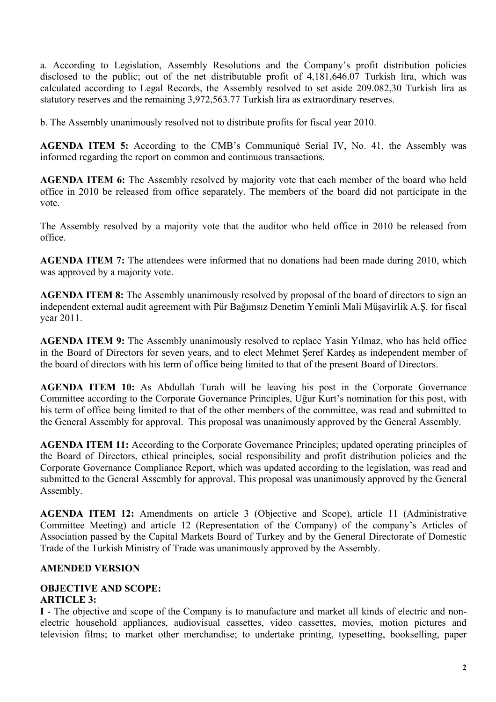a. According to Legislation, Assembly Resolutions and the Company's profit distribution policies disclosed to the public; out of the net distributable profit of 4,181,646.07 Turkish lira, which was calculated according to Legal Records, the Assembly resolved to set aside 209.082,30 Turkish lira as statutory reserves and the remaining 3,972,563.77 Turkish lira as extraordinary reserves.

b. The Assembly unanimously resolved not to distribute profits for fiscal year 2010.

**AGENDA ITEM 5:** According to the CMB's Communiqué Serial IV, No. 41, the Assembly was informed regarding the report on common and continuous transactions.

**AGENDA ITEM 6:** The Assembly resolved by majority vote that each member of the board who held office in 2010 be released from office separately. The members of the board did not participate in the vote.

The Assembly resolved by a majority vote that the auditor who held office in 2010 be released from office.

**AGENDA ITEM 7:** The attendees were informed that no donations had been made during 2010, which was approved by a majority vote.

**AGENDA ITEM 8:** The Assembly unanimously resolved by proposal of the board of directors to sign an independent external audit agreement with Pür Bağımsız Denetim Yeminli Mali Müşavirlik A.Ş. for fiscal year 2011.

**AGENDA ITEM 9:** The Assembly unanimously resolved to replace Yasin Yılmaz, who has held office in the Board of Directors for seven years, and to elect Mehmet Şeref Kardeş as independent member of the board of directors with his term of office being limited to that of the present Board of Directors.

**AGENDA ITEM 10:** As Abdullah Turalı will be leaving his post in the Corporate Governance Committee according to the Corporate Governance Principles, Uğur Kurt's nomination for this post, with his term of office being limited to that of the other members of the committee, was read and submitted to the General Assembly for approval. This proposal was unanimously approved by the General Assembly.

**AGENDA ITEM 11:** According to the Corporate Governance Principles; updated operating principles of the Board of Directors, ethical principles, social responsibility and profit distribution policies and the Corporate Governance Compliance Report, which was updated according to the legislation, was read and submitted to the General Assembly for approval. This proposal was unanimously approved by the General Assembly.

**AGENDA ITEM 12:** Amendments on article 3 (Objective and Scope), article 11 (Administrative Committee Meeting) and article 12 (Representation of the Company) of the company's Articles of Association passed by the Capital Markets Board of Turkey and by the General Directorate of Domestic Trade of the Turkish Ministry of Trade was unanimously approved by the Assembly.

# **AMENDED VERSION**

#### **OBJECTIVE AND SCOPE: ARTICLE 3:**

**I** - The objective and scope of the Company is to manufacture and market all kinds of electric and nonelectric household appliances, audiovisual cassettes, video cassettes, movies, motion pictures and television films; to market other merchandise; to undertake printing, typesetting, bookselling, paper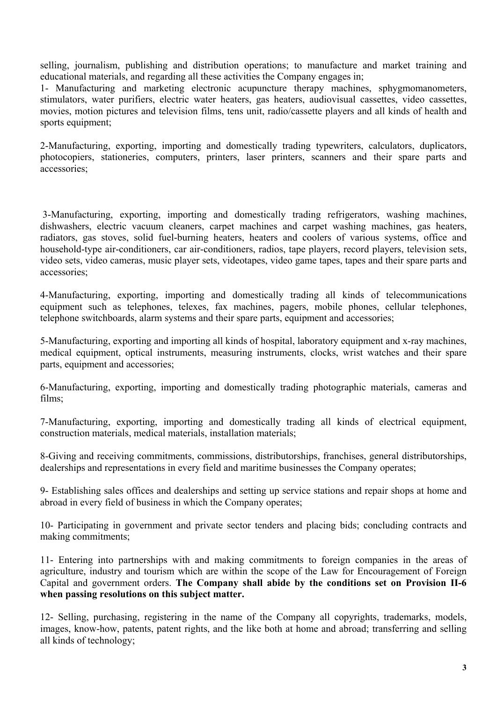selling, journalism, publishing and distribution operations; to manufacture and market training and educational materials, and regarding all these activities the Company engages in;

1- Manufacturing and marketing electronic acupuncture therapy machines, sphygmomanometers, stimulators, water purifiers, electric water heaters, gas heaters, audiovisual cassettes, video cassettes, movies, motion pictures and television films, tens unit, radio/cassette players and all kinds of health and sports equipment;

2-Manufacturing, exporting, importing and domestically trading typewriters, calculators, duplicators, photocopiers, stationeries, computers, printers, laser printers, scanners and their spare parts and accessories;

 3-Manufacturing, exporting, importing and domestically trading refrigerators, washing machines, dishwashers, electric vacuum cleaners, carpet machines and carpet washing machines, gas heaters, radiators, gas stoves, solid fuel-burning heaters, heaters and coolers of various systems, office and household-type air-conditioners, car air-conditioners, radios, tape players, record players, television sets, video sets, video cameras, music player sets, videotapes, video game tapes, tapes and their spare parts and accessories;

4-Manufacturing, exporting, importing and domestically trading all kinds of telecommunications equipment such as telephones, telexes, fax machines, pagers, mobile phones, cellular telephones, telephone switchboards, alarm systems and their spare parts, equipment and accessories;

5-Manufacturing, exporting and importing all kinds of hospital, laboratory equipment and x-ray machines, medical equipment, optical instruments, measuring instruments, clocks, wrist watches and their spare parts, equipment and accessories;

6-Manufacturing, exporting, importing and domestically trading photographic materials, cameras and films;

7-Manufacturing, exporting, importing and domestically trading all kinds of electrical equipment, construction materials, medical materials, installation materials;

8-Giving and receiving commitments, commissions, distributorships, franchises, general distributorships, dealerships and representations in every field and maritime businesses the Company operates;

9- Establishing sales offices and dealerships and setting up service stations and repair shops at home and abroad in every field of business in which the Company operates;

10- Participating in government and private sector tenders and placing bids; concluding contracts and making commitments;

11- Entering into partnerships with and making commitments to foreign companies in the areas of agriculture, industry and tourism which are within the scope of the Law for Encouragement of Foreign Capital and government orders. **The Company shall abide by the conditions set on Provision II-6 when passing resolutions on this subject matter.** 

12- Selling, purchasing, registering in the name of the Company all copyrights, trademarks, models, images, know-how, patents, patent rights, and the like both at home and abroad; transferring and selling all kinds of technology;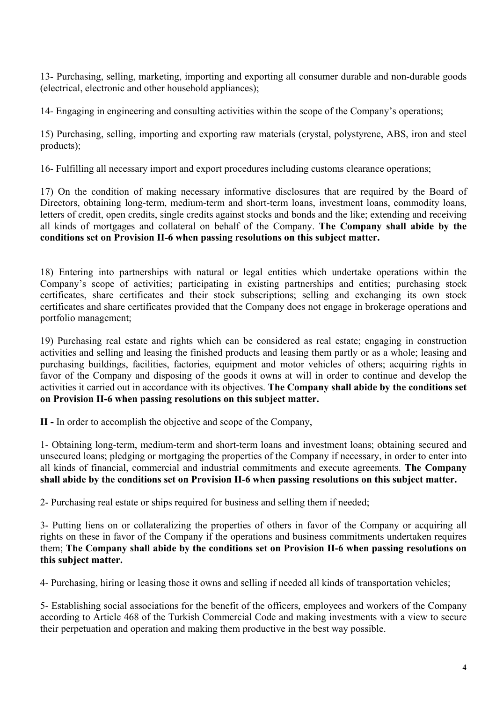13- Purchasing, selling, marketing, importing and exporting all consumer durable and non-durable goods (electrical, electronic and other household appliances);

14- Engaging in engineering and consulting activities within the scope of the Company's operations;

15) Purchasing, selling, importing and exporting raw materials (crystal, polystyrene, ABS, iron and steel products);

16- Fulfilling all necessary import and export procedures including customs clearance operations;

17) On the condition of making necessary informative disclosures that are required by the Board of Directors, obtaining long-term, medium-term and short-term loans, investment loans, commodity loans, letters of credit, open credits, single credits against stocks and bonds and the like; extending and receiving all kinds of mortgages and collateral on behalf of the Company. **The Company shall abide by the conditions set on Provision II-6 when passing resolutions on this subject matter.**

18) Entering into partnerships with natural or legal entities which undertake operations within the Company's scope of activities; participating in existing partnerships and entities; purchasing stock certificates, share certificates and their stock subscriptions; selling and exchanging its own stock certificates and share certificates provided that the Company does not engage in brokerage operations and portfolio management;

19) Purchasing real estate and rights which can be considered as real estate; engaging in construction activities and selling and leasing the finished products and leasing them partly or as a whole; leasing and purchasing buildings, facilities, factories, equipment and motor vehicles of others; acquiring rights in favor of the Company and disposing of the goods it owns at will in order to continue and develop the activities it carried out in accordance with its objectives. **The Company shall abide by the conditions set on Provision II-6 when passing resolutions on this subject matter.** 

**II -** In order to accomplish the objective and scope of the Company,

1- Obtaining long-term, medium-term and short-term loans and investment loans; obtaining secured and unsecured loans; pledging or mortgaging the properties of the Company if necessary, in order to enter into all kinds of financial, commercial and industrial commitments and execute agreements. **The Company shall abide by the conditions set on Provision II-6 when passing resolutions on this subject matter.** 

2- Purchasing real estate or ships required for business and selling them if needed;

3- Putting liens on or collateralizing the properties of others in favor of the Company or acquiring all rights on these in favor of the Company if the operations and business commitments undertaken requires them; **The Company shall abide by the conditions set on Provision II-6 when passing resolutions on this subject matter.** 

4- Purchasing, hiring or leasing those it owns and selling if needed all kinds of transportation vehicles;

5- Establishing social associations for the benefit of the officers, employees and workers of the Company according to Article 468 of the Turkish Commercial Code and making investments with a view to secure their perpetuation and operation and making them productive in the best way possible.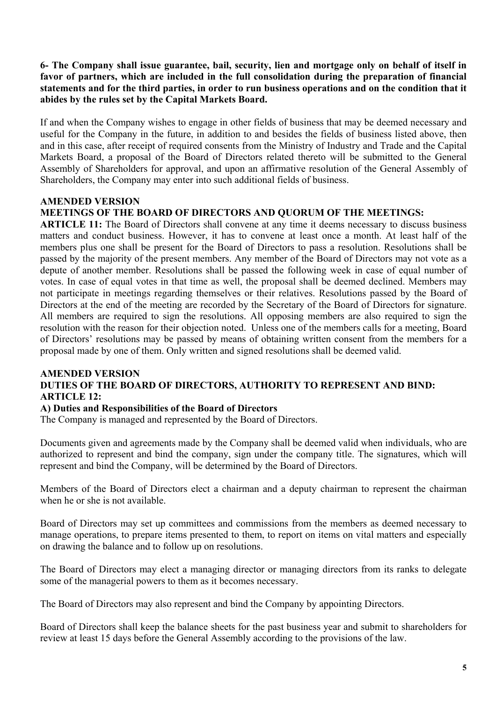# **6- The Company shall issue guarantee, bail, security, lien and mortgage only on behalf of itself in favor of partners, which are included in the full consolidation during the preparation of financial statements and for the third parties, in order to run business operations and on the condition that it abides by the rules set by the Capital Markets Board.**

If and when the Company wishes to engage in other fields of business that may be deemed necessary and useful for the Company in the future, in addition to and besides the fields of business listed above, then and in this case, after receipt of required consents from the Ministry of Industry and Trade and the Capital Markets Board, a proposal of the Board of Directors related thereto will be submitted to the General Assembly of Shareholders for approval, and upon an affirmative resolution of the General Assembly of Shareholders, the Company may enter into such additional fields of business.

# **AMENDED VERSION**

# **MEETINGS OF THE BOARD OF DIRECTORS AND QUORUM OF THE MEETINGS:**

**ARTICLE 11:** The Board of Directors shall convene at any time it deems necessary to discuss business matters and conduct business. However, it has to convene at least once a month. At least half of the members plus one shall be present for the Board of Directors to pass a resolution. Resolutions shall be passed by the majority of the present members. Any member of the Board of Directors may not vote as a depute of another member. Resolutions shall be passed the following week in case of equal number of votes. In case of equal votes in that time as well, the proposal shall be deemed declined. Members may not participate in meetings regarding themselves or their relatives. Resolutions passed by the Board of Directors at the end of the meeting are recorded by the Secretary of the Board of Directors for signature. All members are required to sign the resolutions. All opposing members are also required to sign the resolution with the reason for their objection noted. Unless one of the members calls for a meeting, Board of Directors' resolutions may be passed by means of obtaining written consent from the members for a proposal made by one of them. Only written and signed resolutions shall be deemed valid.

#### **AMENDED VERSION DUTIES OF THE BOARD OF DIRECTORS, AUTHORITY TO REPRESENT AND BIND: ARTICLE 12:**

# **A) Duties and Responsibilities of the Board of Directors**

The Company is managed and represented by the Board of Directors.

Documents given and agreements made by the Company shall be deemed valid when individuals, who are authorized to represent and bind the company, sign under the company title. The signatures, which will represent and bind the Company, will be determined by the Board of Directors.

Members of the Board of Directors elect a chairman and a deputy chairman to represent the chairman when he or she is not available.

Board of Directors may set up committees and commissions from the members as deemed necessary to manage operations, to prepare items presented to them, to report on items on vital matters and especially on drawing the balance and to follow up on resolutions.

The Board of Directors may elect a managing director or managing directors from its ranks to delegate some of the managerial powers to them as it becomes necessary.

The Board of Directors may also represent and bind the Company by appointing Directors.

Board of Directors shall keep the balance sheets for the past business year and submit to shareholders for review at least 15 days before the General Assembly according to the provisions of the law.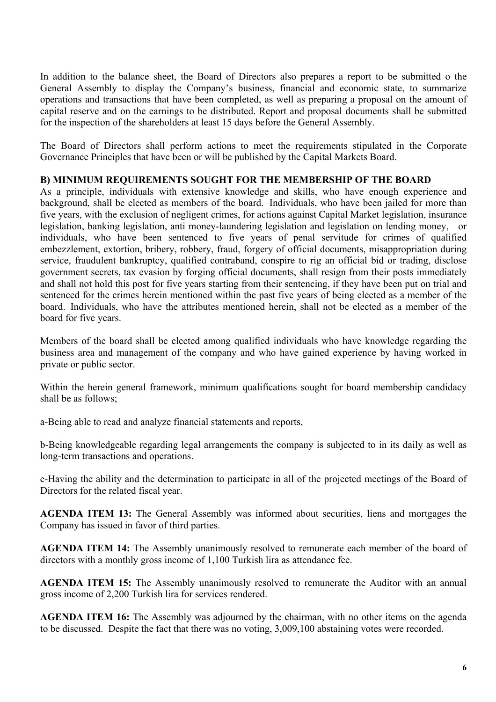In addition to the balance sheet, the Board of Directors also prepares a report to be submitted o the General Assembly to display the Company's business, financial and economic state, to summarize operations and transactions that have been completed, as well as preparing a proposal on the amount of capital reserve and on the earnings to be distributed. Report and proposal documents shall be submitted for the inspection of the shareholders at least 15 days before the General Assembly.

The Board of Directors shall perform actions to meet the requirements stipulated in the Corporate Governance Principles that have been or will be published by the Capital Markets Board.

#### **B) MINIMUM REQUIREMENTS SOUGHT FOR THE MEMBERSHIP OF THE BOARD**

As a principle, individuals with extensive knowledge and skills, who have enough experience and background, shall be elected as members of the board. Individuals, who have been jailed for more than five years, with the exclusion of negligent crimes, for actions against Capital Market legislation, insurance legislation, banking legislation, anti money-laundering legislation and legislation on lending money, or individuals, who have been sentenced to five years of penal servitude for crimes of qualified embezzlement, extortion, bribery, robbery, fraud, forgery of official documents, misappropriation during service, fraudulent bankruptcy, qualified contraband, conspire to rig an official bid or trading, disclose government secrets, tax evasion by forging official documents, shall resign from their posts immediately and shall not hold this post for five years starting from their sentencing, if they have been put on trial and sentenced for the crimes herein mentioned within the past five years of being elected as a member of the board. Individuals, who have the attributes mentioned herein, shall not be elected as a member of the board for five years.

Members of the board shall be elected among qualified individuals who have knowledge regarding the business area and management of the company and who have gained experience by having worked in private or public sector.

Within the herein general framework, minimum qualifications sought for board membership candidacy shall be as follows;

a-Being able to read and analyze financial statements and reports,

b-Being knowledgeable regarding legal arrangements the company is subjected to in its daily as well as long-term transactions and operations.

c-Having the ability and the determination to participate in all of the projected meetings of the Board of Directors for the related fiscal year.

**AGENDA ITEM 13:** The General Assembly was informed about securities, liens and mortgages the Company has issued in favor of third parties.

**AGENDA ITEM 14:** The Assembly unanimously resolved to remunerate each member of the board of directors with a monthly gross income of 1,100 Turkish lira as attendance fee.

**AGENDA ITEM 15:** The Assembly unanimously resolved to remunerate the Auditor with an annual gross income of 2,200 Turkish lira for services rendered.

**AGENDA ITEM 16:** The Assembly was adjourned by the chairman, with no other items on the agenda to be discussed. Despite the fact that there was no voting, 3,009,100 abstaining votes were recorded.